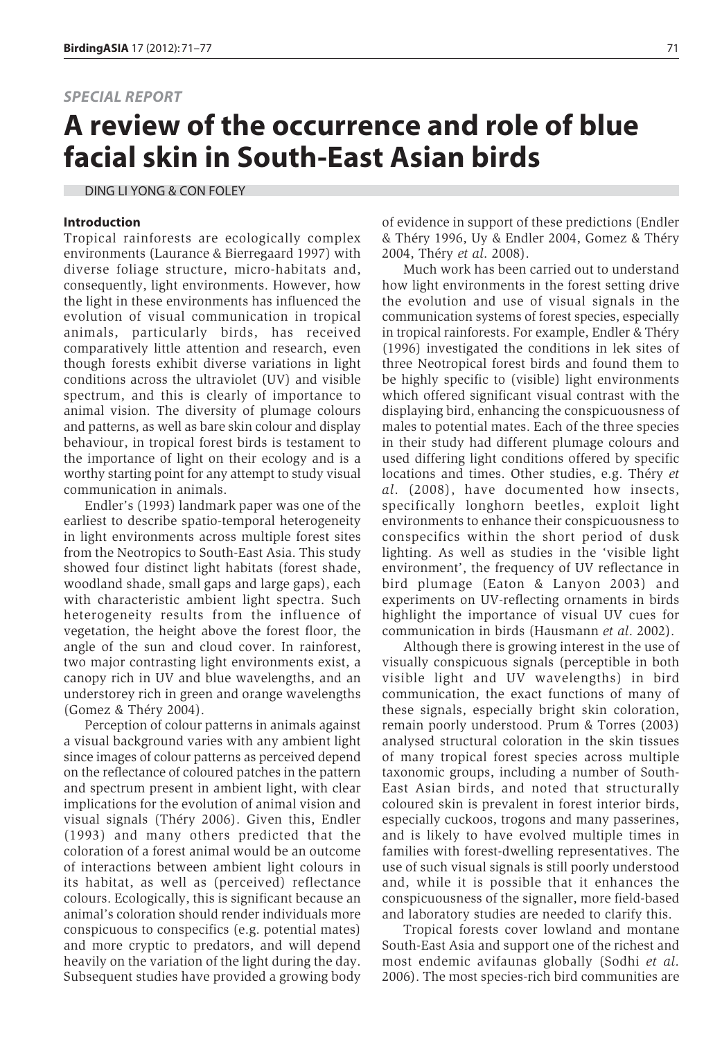## *SPECIAL REPORT*

# **A review of the occurrence and role of blue facial skin in South-East Asian birds**

DING LI YONG & CON FOLEY

#### **Introduction**

Tropical rainforests are ecologically complex environments (Laurance & Bierregaard 1997) with diverse foliage structure, micro-habitats and, consequently, light environments. However, how the light in these environments has influenced the evolution of visual communication in tropical animals, particularly birds, has received comparatively little attention and research, even though forests exhibit diverse variations in light conditions across the ultraviolet (UV) and visible spectrum, and this is clearly of importance to animal vision. The diversity of plumage colours and patterns, as well as bare skin colour and display behaviour, in tropical forest birds is testament to the importance of light on their ecology and is a worthy starting point for any attempt to study visual communication in animals.

Endler's (1993) landmark paper was one of the earliest to describe spatio-temporal heterogeneity in light environments across multiple forest sites from the Neotropics to South-East Asia. This study showed four distinct light habitats (forest shade, woodland shade, small gaps and large gaps), each with characteristic ambient light spectra. Such heterogeneity results from the influence of vegetation, the height above the forest floor, the angle of the sun and cloud cover. In rainforest, two major contrasting light environments exist, a canopy rich in UV and blue wavelengths, and an understorey rich in green and orange wavelengths (Gomez & Théry 2004).

Perception of colour patterns in animals against a visual background varies with any ambient light since images of colour patterns as perceived depend on the reflectance of coloured patches in the pattern and spectrum present in ambient light, with clear implications for the evolution of animal vision and visual signals (Théry 2006). Given this, Endler (1993) and many others predicted that the coloration of a forest animal would be an outcome of interactions between ambient light colours in its habitat, as well as (perceived) reflectance colours. Ecologically, this is significant because an animal's coloration should render individuals more conspicuous to conspecifics (e.g. potential mates) and more cryptic to predators, and will depend heavily on the variation of the light during the day. Subsequent studies have provided a growing body of evidence in support of these predictions (Endler & Théry 1996, Uy & Endler 2004, Gomez & Théry 2004, Théry *et al*. 2008).

Much work has been carried out to understand how light environments in the forest setting drive the evolution and use of visual signals in the communication systems of forest species, especially in tropical rainforests. For example, Endler & Théry (1996) investigated the conditions in lek sites of three Neotropical forest birds and found them to be highly specific to (visible) light environments which offered significant visual contrast with the displaying bird, enhancing the conspicuousness of males to potential mates. Each of the three species in their study had different plumage colours and used differing light conditions offered by specific locations and times. Other studies, e.g. Théry *et al*. (2008), have documented how insects, specifically longhorn beetles, exploit light environments to enhance their conspicuousness to conspecifics within the short period of dusk lighting. As well as studies in the 'visible light environment', the frequency of UV reflectance in bird plumage (Eaton & Lanyon 2003) and experiments on UV-reflecting ornaments in birds highlight the importance of visual UV cues for communication in birds (Hausmann *et al*. 2002).

Although there is growing interest in the use of visually conspicuous signals (perceptible in both visible light and UV wavelengths) in bird communication, the exact functions of many of these signals, especially bright skin coloration, remain poorly understood. Prum & Torres (2003) analysed structural coloration in the skin tissues of many tropical forest species across multiple taxonomic groups, including a number of South-East Asian birds, and noted that structurally coloured skin is prevalent in forest interior birds, especially cuckoos, trogons and many passerines, and is likely to have evolved multiple times in families with forest-dwelling representatives. The use of such visual signals is still poorly understood and, while it is possible that it enhances the conspicuousness of the signaller, more field-based and laboratory studies are needed to clarify this.

Tropical forests cover lowland and montane South-East Asia and support one of the richest and most endemic avifaunas globally (Sodhi *et al*. 2006). The most species-rich bird communities are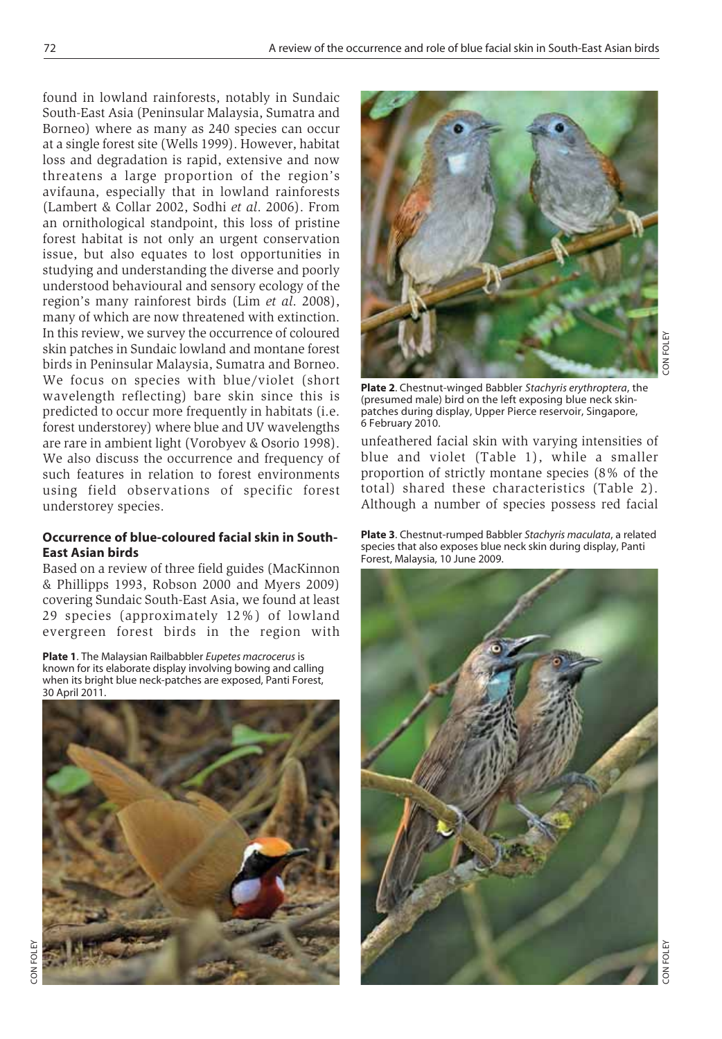found in lowland rainforests, notably in Sundaic South-East Asia (Peninsular Malaysia, Sumatra and Borneo) where as many as 240 species can occur at a single forest site (Wells 1999). However, habitat loss and degradation is rapid, extensive and now threatens a large proportion of the region's avifauna, especially that in lowland rainforests (Lambert & Collar 2002, Sodhi *et al*. 2006). From an ornithological standpoint, this loss of pristine forest habitat is not only an urgent conservation issue, but also equates to lost opportunities in studying and understanding the diverse and poorly understood behavioural and sensory ecology of the region's many rainforest birds (Lim *et al*. 2008), many of which are now threatened with extinction. In this review, we survey the occurrence of coloured skin patches in Sundaic lowland and montane forest birds in Peninsular Malaysia, Sumatra and Borneo. We focus on species with blue/violet (short wavelength reflecting) bare skin since this is predicted to occur more frequently in habitats (i.e. forest understorey) where blue and UV wavelengths are rare in ambient light (Vorobyev & Osorio 1998). We also discuss the occurrence and frequency of such features in relation to forest environments using field observations of specific forest understorey species.

## **Occurrence of blue-coloured facial skin in South-East Asian birds**

Based on a review of three field guides (MacKinnon & Phillipps 1993, Robson 2000 and Myers 2009) covering Sundaic South-East Asia, we found at least 29 species (approximately 12%) of lowland evergreen forest birds in the region with

**Plate 1**. The Malaysian Railbabbler *Eupetes macrocerus* is known for its elaborate display involving bowing and calling when its bright blue neck-patches are exposed, Panti Forest, 30 April 2011.





CON FOLEY

ON FOLEY

**Plate 2**. Chestnut-winged Babbler *Stachyris erythroptera*, the (presumed male) bird on the left exposing blue neck skinpatches during display, Upper Pierce reservoir, Singapore, 6 February 2010.

unfeathered facial skin with varying intensities of blue and violet (Table 1), while a smaller proportion of strictly montane species (8% of the total) shared these characteristics (Table 2). Although a number of species possess red facial

**Plate 3**. Chestnut-rumped Babbler *Stachyris maculata*, a related species that also exposes blue neck skin during display, Panti Forest, Malaysia, 10 June 2009.

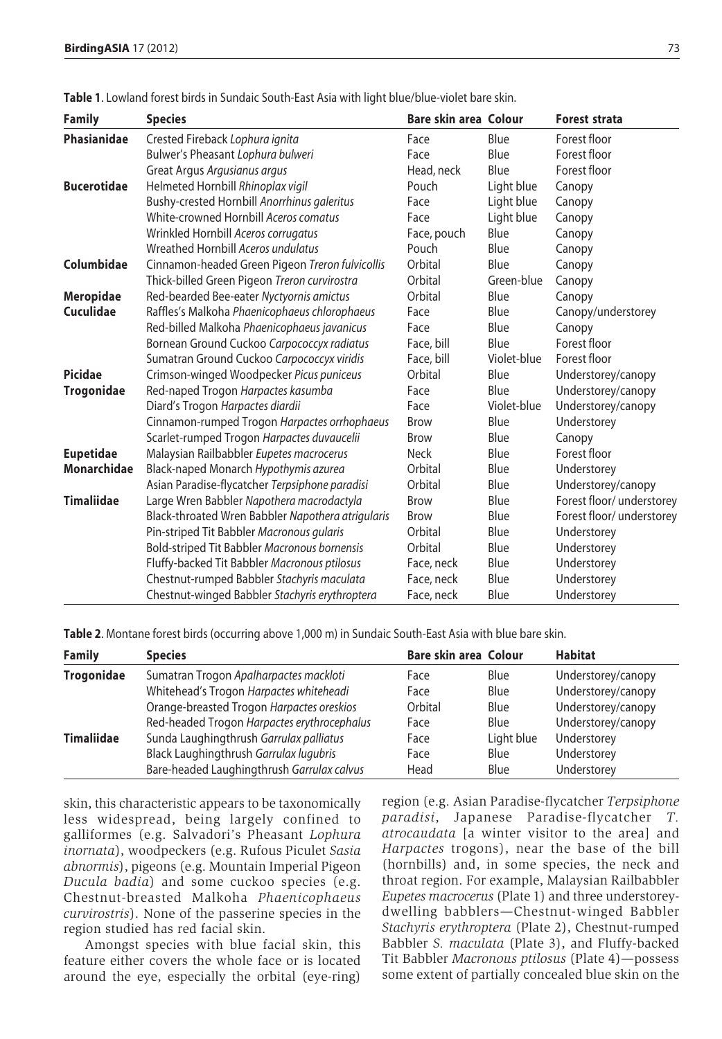| <b>Family</b>      | <b>Species</b>                                    | Bare skin area Colour |             | <b>Forest strata</b>      |
|--------------------|---------------------------------------------------|-----------------------|-------------|---------------------------|
| <b>Phasianidae</b> | Crested Fireback Lophura ignita                   | Face                  | Blue        | Forest floor              |
|                    | Bulwer's Pheasant Lophura bulweri                 | Face                  | Blue        | Forest floor              |
|                    | Great Argus Argusianus argus                      | Head, neck            | Blue        | Forest floor              |
| <b>Bucerotidae</b> | Helmeted Hornbill Rhinoplax vigil                 | Pouch                 | Light blue  | Canopy                    |
|                    | Bushy-crested Hornbill Anorrhinus galeritus       | Face                  | Light blue  | Canopy                    |
|                    | White-crowned Hornbill Aceros comatus             | Face                  | Light blue  | Canopy                    |
|                    | Wrinkled Hornbill Aceros corrugatus               | Face, pouch           | Blue        | Canopy                    |
|                    | Wreathed Hornbill Aceros undulatus                | Pouch                 | Blue        | Canopy                    |
| Columbidae         | Cinnamon-headed Green Pigeon Treron fulvicollis   | Orbital               | Blue        | Canopy                    |
|                    | Thick-billed Green Pigeon Treron curvirostra      | Orbital               | Green-blue  | Canopy                    |
| <b>Meropidae</b>   | Red-bearded Bee-eater Nyctyornis amictus          | Orbital               | Blue        | Canopy                    |
| Cuculidae          | Raffles's Malkoha Phaenicophaeus chlorophaeus     | Face                  | Blue        | Canopy/understorey        |
|                    | Red-billed Malkoha Phaenicophaeus javanicus       | Face                  | Blue        | Canopy                    |
|                    | Bornean Ground Cuckoo Carpococcyx radiatus        | Face, bill            | Blue        | Forest floor              |
|                    | Sumatran Ground Cuckoo Carpococcyx viridis        | Face, bill            | Violet-blue | Forest floor              |
| Picidae            | Crimson-winged Woodpecker Picus puniceus          | Orbital               | Blue        | Understorey/canopy        |
| <b>Trogonidae</b>  | Red-naped Trogon Harpactes kasumba                | Face                  | Blue        | Understorey/canopy        |
|                    | Diard's Trogon Harpactes diardii                  | Face                  | Violet-blue | Understorey/canopy        |
|                    | Cinnamon-rumped Trogon Harpactes orrhophaeus      | <b>Brow</b>           | Blue        | Understorey               |
|                    | Scarlet-rumped Trogon Harpactes duvaucelii        | <b>Brow</b>           | Blue        | Canopy                    |
| <b>Eupetidae</b>   | Malaysian Railbabbler Eupetes macrocerus          | <b>Neck</b>           | Blue        | Forest floor              |
| Monarchidae        | Black-naped Monarch Hypothymis azurea             | Orbital               | Blue        | Understorey               |
|                    | Asian Paradise-flycatcher Terpsiphone paradisi    | Orbital               | Blue        | Understorey/canopy        |
| <b>Timaliidae</b>  | Large Wren Babbler Napothera macrodactyla         | <b>Brow</b>           | Blue        | Forest floor/ understorey |
|                    | Black-throated Wren Babbler Napothera atrigularis | <b>Brow</b>           | Blue        | Forest floor/ understorey |
|                    | Pin-striped Tit Babbler Macronous gularis         | Orbital               | Blue        | Understorey               |
|                    | Bold-striped Tit Babbler Macronous bornensis      | Orbital               | Blue        | Understorey               |
|                    | Fluffy-backed Tit Babbler Macronous ptilosus      | Face, neck            | Blue        | Understorey               |
|                    | Chestnut-rumped Babbler Stachyris maculata        | Face, neck            | Blue        | Understorey               |
|                    | Chestnut-winged Babbler Stachyris erythroptera    | Face, neck            | Blue        | Understorey               |

**Table 1**. Lowland forest birds in Sundaic South-East Asia with light blue/blue-violet bare skin.

| <b>Family</b>     | <b>Species</b>                              | Bare skin area Colour |            | <b>Habitat</b>     |
|-------------------|---------------------------------------------|-----------------------|------------|--------------------|
| <b>Trogonidae</b> | Sumatran Trogon Apalharpactes mackloti      | Face                  | Blue       | Understorey/canopy |
|                   | Whitehead's Trogon Harpactes whiteheadi     | Face                  | Blue       | Understorey/canopy |
|                   | Orange-breasted Trogon Harpactes oreskios   | Orbital               | Blue       | Understorey/canopy |
|                   | Red-headed Trogon Harpactes erythrocephalus | Face                  | Blue       | Understorey/canopy |
| <b>Timaliidae</b> | Sunda Laughingthrush Garrulax palliatus     | Face                  | Light blue | Understorey        |
|                   | Black Laughingthrush Garrulax lugubris      | Face                  | Blue       | Understorey        |
|                   | Bare-headed Laughingthrush Garrulax calvus  | Head                  | Blue       | Understorey        |

skin, this characteristic appears to be taxonomically less widespread, being largely confined to galliformes (e.g. Salvadori's Pheasant *Lophura inornata*), woodpeckers (e.g. Rufous Piculet *Sasia abnormis*), pigeons (e.g. Mountain Imperial Pigeon *Ducula badia*) and some cuckoo species (e.g. Chestnut-breasted Malkoha *Phaenicophaeus curvirostris*). None of the passerine species in the region studied has red facial skin.

Amongst species with blue facial skin, this feature either covers the whole face or is located around the eye, especially the orbital (eye-ring)

region (e.g. Asian Paradise-flycatcher *Terpsiphone paradisi*, Japanese Paradise-flycatcher *T. atrocaudata* [a winter visitor to the area] and *Harpactes* trogons), near the base of the bill (hornbills) and, in some species, the neck and throat region. For example, Malaysian Railbabbler *Eupetes macrocerus* (Plate 1) and three understoreydwelling babblers—Chestnut-winged Babbler *Stachyris erythroptera* (Plate 2), Chestnut-rumped Babbler *S. maculata* (Plate 3), and Fluffy-backed Tit Babbler *Macronous ptilosus* (Plate 4)—possess some extent of partially concealed blue skin on the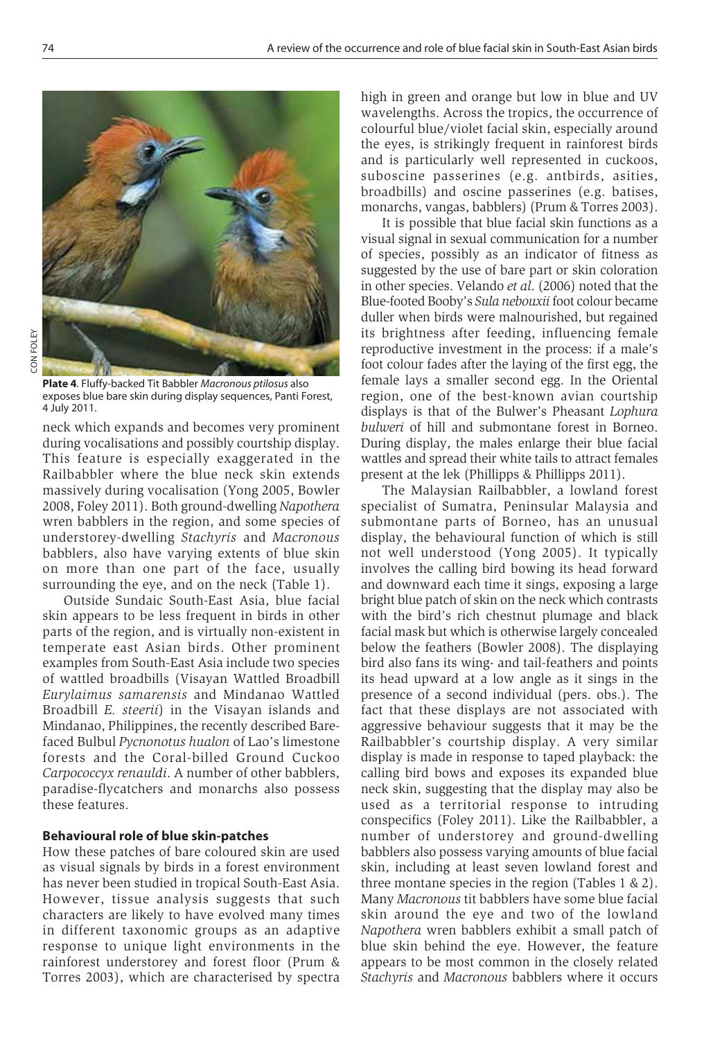

**Plate 4**. Fluffy-backed Tit Babbler *Macronous ptilosus* also exposes blue bare skin during display sequences, Panti Forest, 4 July 2011.

neck which expands and becomes very prominent during vocalisations and possibly courtship display. This feature is especially exaggerated in the Railbabbler where the blue neck skin extends massively during vocalisation (Yong 2005, Bowler 2008, Foley 2011). Both ground-dwelling *Napothera* wren babblers in the region, and some species of understorey-dwelling *Stachyris* and *Macronous* babblers, also have varying extents of blue skin on more than one part of the face, usually surrounding the eye, and on the neck (Table 1).

Outside Sundaic South-East Asia, blue facial skin appears to be less frequent in birds in other parts of the region, and is virtually non-existent in temperate east Asian birds. Other prominent examples from South-East Asia include two species of wattled broadbills (Visayan Wattled Broadbill *Eurylaimus samarensis* and Mindanao Wattled Broadbill *E. steerii*) in the Visayan islands and Mindanao, Philippines, the recently described Barefaced Bulbul *Pycnonotus hualon* of Lao's limestone forests and the Coral-billed Ground Cuckoo *Carpococcyx renauldi*. A number of other babblers, paradise-flycatchers and monarchs also possess these features.

## **Behavioural role of blue skin-patches**

How these patches of bare coloured skin are used as visual signals by birds in a forest environment has never been studied in tropical South-East Asia. However, tissue analysis suggests that such characters are likely to have evolved many times in different taxonomic groups as an adaptive response to unique light environments in the rainforest understorey and forest floor (Prum & Torres 2003), which are characterised by spectra high in green and orange but low in blue and UV wavelengths. Across the tropics, the occurrence of colourful blue/violet facial skin, especially around the eyes, is strikingly frequent in rainforest birds and is particularly well represented in cuckoos, suboscine passerines (e.g. antbirds, asities, broadbills) and oscine passerines (e.g. batises, monarchs, vangas, babblers) (Prum & Torres 2003).

It is possible that blue facial skin functions as a visual signal in sexual communication for a number of species, possibly as an indicator of fitness as suggested by the use of bare part or skin coloration in other species. Velando *et al*. (2006) noted that the Blue-footed Booby's *Sula nebouxii* foot colour became duller when birds were malnourished, but regained its brightness after feeding, influencing female reproductive investment in the process: if a male's foot colour fades after the laying of the first egg, the female lays a smaller second egg. In the Oriental region, one of the best-known avian courtship displays is that of the Bulwer's Pheasant *Lophura bulweri* of hill and submontane forest in Borneo. During display, the males enlarge their blue facial wattles and spread their white tails to attract females present at the lek (Phillipps & Phillipps 2011).

The Malaysian Railbabbler, a lowland forest specialist of Sumatra, Peninsular Malaysia and submontane parts of Borneo, has an unusual display, the behavioural function of which is still not well understood (Yong 2005). It typically involves the calling bird bowing its head forward and downward each time it sings, exposing a large bright blue patch of skin on the neck which contrasts with the bird's rich chestnut plumage and black facial mask but which is otherwise largely concealed below the feathers (Bowler 2008). The displaying bird also fans its wing- and tail-feathers and points its head upward at a low angle as it sings in the presence of a second individual (pers. obs.). The fact that these displays are not associated with aggressive behaviour suggests that it may be the Railbabbler's courtship display. A very similar display is made in response to taped playback: the calling bird bows and exposes its expanded blue neck skin, suggesting that the display may also be used as a territorial response to intruding conspecifics (Foley 2011). Like the Railbabbler, a number of understorey and ground-dwelling babblers also possess varying amounts of blue facial skin, including at least seven lowland forest and three montane species in the region (Tables 1 & 2). Many *Macronous* tit babblers have some blue facial skin around the eye and two of the lowland *Napothera* wren babblers exhibit a small patch of blue skin behind the eye. However, the feature appears to be most common in the closely related *Stachyris* and *Macronous* babblers where it occurs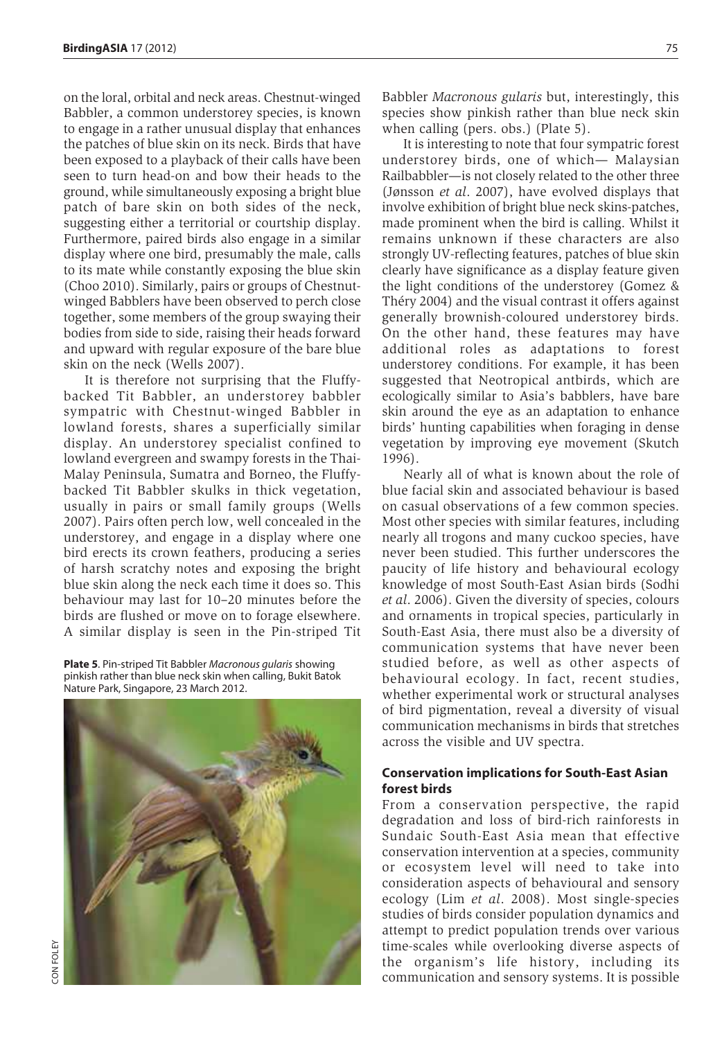on the loral, orbital and neck areas. Chestnut-winged Babbler, a common understorey species, is known to engage in a rather unusual display that enhances the patches of blue skin on its neck. Birds that have been exposed to a playback of their calls have been seen to turn head-on and bow their heads to the ground, while simultaneously exposing a bright blue patch of bare skin on both sides of the neck, suggesting either a territorial or courtship display. Furthermore, paired birds also engage in a similar display where one bird, presumably the male, calls to its mate while constantly exposing the blue skin (Choo 2010). Similarly, pairs or groups of Chestnutwinged Babblers have been observed to perch close together, some members of the group swaying their bodies from side to side, raising their heads forward and upward with regular exposure of the bare blue skin on the neck (Wells 2007).

It is therefore not surprising that the Fluffybacked Tit Babbler, an understorey babbler sympatric with Chestnut-winged Babbler in lowland forests, shares a superficially similar display. An understorey specialist confined to lowland evergreen and swampy forests in the Thai-Malay Peninsula, Sumatra and Borneo, the Fluffybacked Tit Babbler skulks in thick vegetation, usually in pairs or small family groups (Wells 2007). Pairs often perch low, well concealed in the understorey, and engage in a display where one bird erects its crown feathers, producing a series of harsh scratchy notes and exposing the bright blue skin along the neck each time it does so. This behaviour may last for 10–20 minutes before the birds are flushed or move on to forage elsewhere. A similar display is seen in the Pin-striped Tit

**Plate 5**. Pin-striped Tit Babbler *Macronous gularis* showing pinkish rather than blue neck skin when calling, Bukit Batok Nature Park, Singapore, 23 March 2012.



Babbler *Macronous gularis* but, interestingly, this species show pinkish rather than blue neck skin when calling (pers. obs.) (Plate 5).

It is interesting to note that four sympatric forest understorey birds, one of which— Malaysian Railbabbler—is not closely related to the other three (Jønsson *et al*. 2007), have evolved displays that involve exhibition of bright blue neck skins-patches, made prominent when the bird is calling. Whilst it remains unknown if these characters are also strongly UV-reflecting features, patches of blue skin clearly have significance as a display feature given the light conditions of the understorey (Gomez & Théry 2004) and the visual contrast it offers against generally brownish-coloured understorey birds. On the other hand, these features may have additional roles as adaptations to forest understorey conditions. For example, it has been suggested that Neotropical antbirds, which are ecologically similar to Asia's babblers, have bare skin around the eye as an adaptation to enhance birds' hunting capabilities when foraging in dense vegetation by improving eye movement (Skutch 1996).

Nearly all of what is known about the role of blue facial skin and associated behaviour is based on casual observations of a few common species. Most other species with similar features, including nearly all trogons and many cuckoo species, have never been studied. This further underscores the paucity of life history and behavioural ecology knowledge of most South-East Asian birds (Sodhi *et al*. 2006). Given the diversity of species, colours and ornaments in tropical species, particularly in South-East Asia, there must also be a diversity of communication systems that have never been studied before, as well as other aspects of behavioural ecology. In fact, recent studies, whether experimental work or structural analyses of bird pigmentation, reveal a diversity of visual communication mechanisms in birds that stretches across the visible and UV spectra.

### **Conservation implications for South-East Asian forest birds**

From a conservation perspective, the rapid degradation and loss of bird-rich rainforests in Sundaic South-East Asia mean that effective conservation intervention at a species, community or ecosystem level will need to take into consideration aspects of behavioural and sensory ecology (Lim *et al*. 2008). Most single-species studies of birds consider population dynamics and attempt to predict population trends over various time-scales while overlooking diverse aspects of the organism's life history, including its communication and sensory systems. It is possible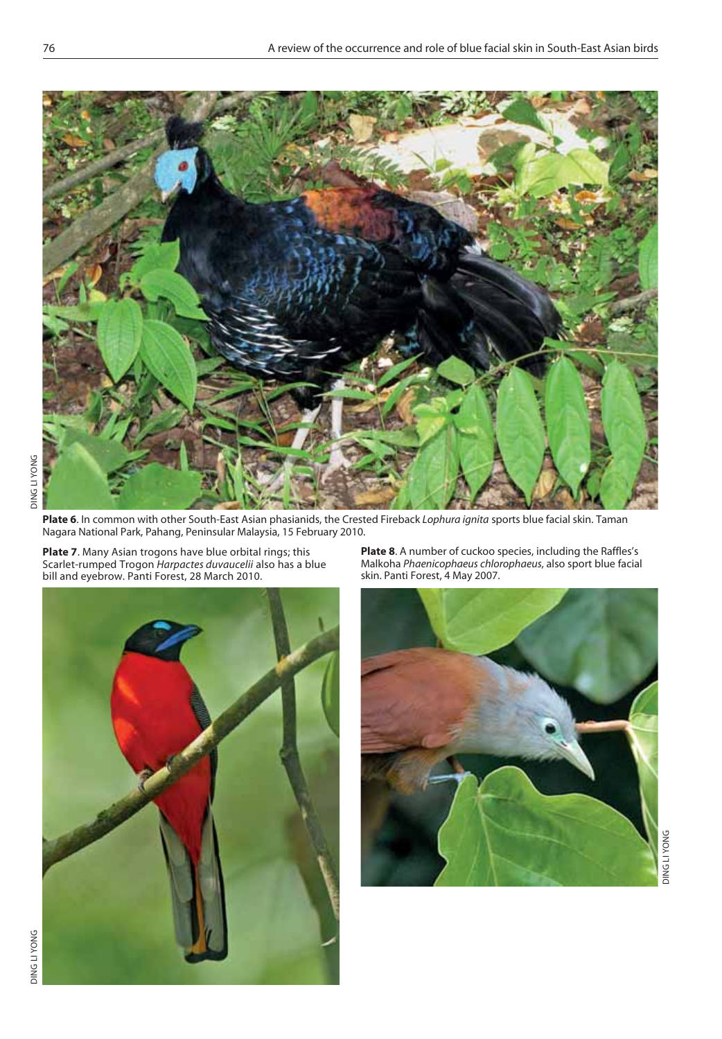

**Plate 6**. In common with other South-East Asian phasianids, the Crested Fireback *Lophura ignita* sports blue facial skin. Taman Nagara National Park, Pahang, Peninsular Malaysia, 15 February 2010.

**Plate 7**. Many Asian trogons have blue orbital rings; this Scarlet-rumped Trogon *Harpactes duvaucelii* also has a blue bill and eyebrow. Panti Forest, 28 March 2010.



**Plate 8**. A number of cuckoo species, including the Raffles's Malkoha *Phaenicophaeus chlorophaeus*, also sport blue facial skin. Panti Forest, 4 May 2007.